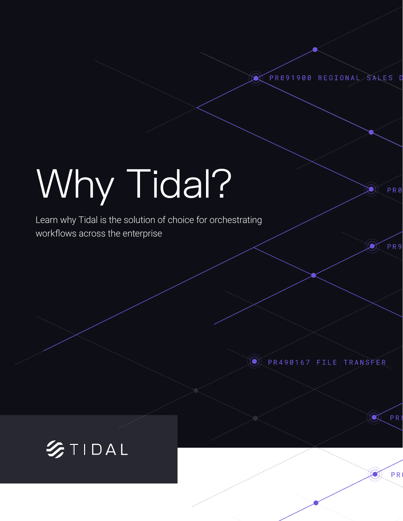PR891900 REGIONAL SALES

PR9

 $\mathbb{R}$  PRI

**PR** 

# Why Tidal?

Learn why Tidal is the solution of choice for orchestrating workflows across the enterprise



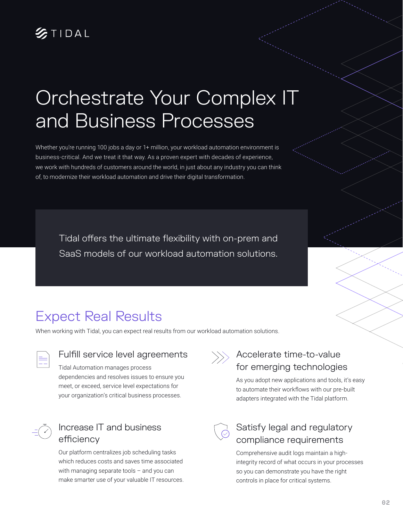

## Orchestrate Your Complex IT and Business Processes

Whether you're running 100 jobs a day or 1+ million, your workload automation environment is business-critical. And we treat it that way. As a proven expert with decades of experience, we work with hundreds of customers around the world, in just about any industry you can think of, to modernize their workload automation and drive their digital transformation.

Tidal offers the ultimate flexibility with on-prem and SaaS models of our workload automation solutions.

## Expect Real Results

When working with Tidal, you can expect real results from our workload automation solutions.



#### Fulfill service level agreements

Tidal Automation manages process dependencies and resolves issues to ensure you meet, or exceed, service level expectations for your organization's critical business processes.

### Increase IT and business efficiency

Our platform centralizes job scheduling tasks which reduces costs and saves time associated with managing separate tools – and you can make smarter use of your valuable IT resources.



### $\langle \rangle$  Accelerate time-to-value for emerging technologies

As you adopt new applications and tools, it's easy to automate their workflows with our pre-built adapters integrated with the Tidal platform.



#### Satisfy legal and regulatory compliance requirements

Comprehensive audit logs maintain a highintegrity record of what occurs in your processes so you can demonstrate you have the right controls in place for critical systems.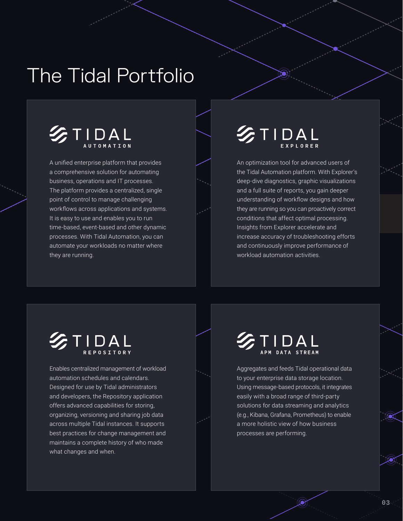## The Tidal Portfolio



A unified enterprise platform that provides a comprehensive solution for automating business, operations and IT processes. The platform provides a centralized, single point of control to manage challenging workflows across applications and systems. It is easy to use and enables you to run time-based, event-based and other dynamic processes. With Tidal Automation, you can automate your workloads no matter where they are running.

## STIDAL

An optimization tool for advanced users of the Tidal Automation platform. With Explorer's deep-dive diagnostics, graphic visualizations and a full suite of reports, you gain deeper understanding of workflow designs and how they are running so you can proactively correct conditions that affect optimal processing. Insights from Explorer accelerate and increase accuracy of troubleshooting efforts and continuously improve performance of workload automation activities.

## STIDAL

Enables centralized management of workload automation schedules and calendars. Designed for use by Tidal administrators and developers, the Repository application offers advanced capabilities for storing, organizing, versioning and sharing job data across multiple Tidal instances. It supports best practices for change management and maintains a complete history of who made what changes and when.

## **SETIDAL**

Aggregates and feeds Tidal operational data to your enterprise data storage location. Using message-based protocols, it integrates easily with a broad range of third-party solutions for data streaming and analytics (e.g., Kibana, Grafana, Prometheus) to enable a more holistic view of how business processes are performing.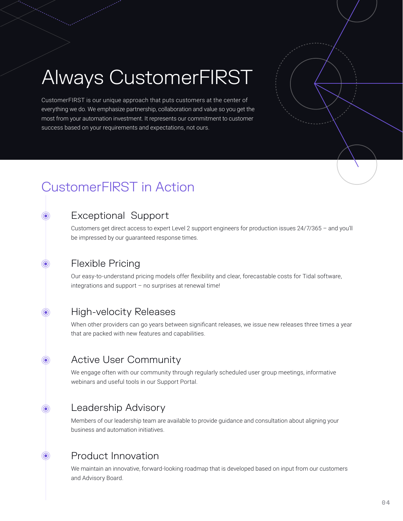## Always CustomerFIRST

CustomerFIRST is our unique approach that puts customers at the center of everything we do. We emphasize partnership, collaboration and value so you get the most from your automation investment. It represents our commitment to customer success based on your requirements and expectations, not ours.

## CustomerFIRST in Action

#### Exceptional Support

Customers get direct access to expert Level 2 support engineers for production issues 24/7/365 – and you'll be impressed by our guaranteed response times.

#### Flexible Pricing

 $\odot$ 

 $\odot$ 

 $\odot$ 

 $\odot$ 

Our easy-to-understand pricing models offer flexibility and clear, forecastable costs for Tidal software, integrations and support – no surprises at renewal time!

#### High-velocity Releases

When other providers can go years between significant releases, we issue new releases three times a year that are packed with new features and capabilities.

#### Active User Community  $\odot$

We engage often with our community through regularly scheduled user group meetings, informative webinars and useful tools in our Support Portal.

#### Leadership Advisory  $\odot$

Members of our leadership team are available to provide guidance and consultation about aligning your business and automation initiatives.

#### Product Innovation

We maintain an innovative, forward-looking roadmap that is developed based on input from our customers and Advisory Board.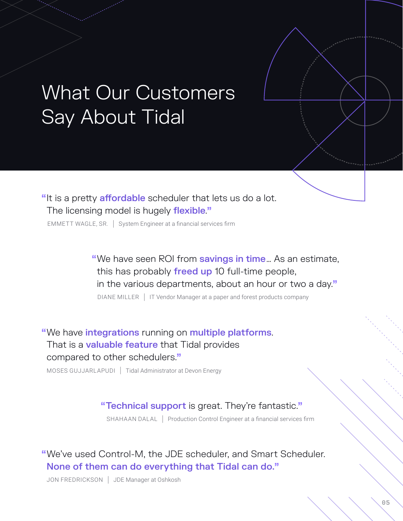## What Our Customers Say About Tidal

"It is a pretty affordable scheduler that lets us do a lot. The licensing model is hugely flexible."

EMMETT WAGLE, SR. | System Engineer at a financial services firm

"We have seen ROI from savings in time... As an estimate, this has probably freed up 10 full-time people, in the various departments, about an hour or two a day."

DIANE MILLER | IT Vendor Manager at a paper and forest products company

"We have integrations running on multiple platforms. That is a **valuable feature** that Tidal provides compared to other schedulers."

MOSES GUJJARLAPUDI | Tidal Administrator at Devon Energy

#### "Technical support is great. They're fantastic."

SHAHAAN DALAL | Production Control Engineer at a financial services firm

"We've used Control-M, the JDE scheduler, and Smart Scheduler. None of them can do everything that Tidal can do."

JON FREDRICKSON | JDE Manager at Oshkosh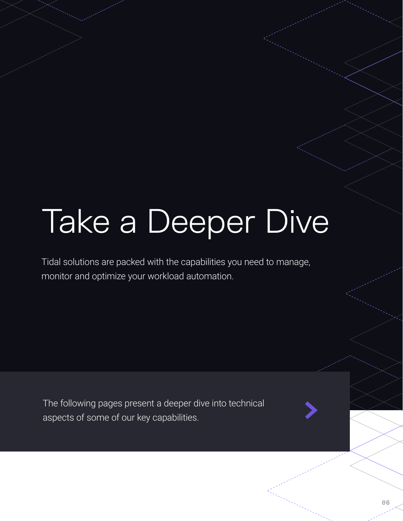# Take a Deeper Dive

Tidal solutions are packed with the capabilities you need to manage, monitor and optimize your workload automation.

The following pages present a deeper dive into technical aspects of some of our key capabilities.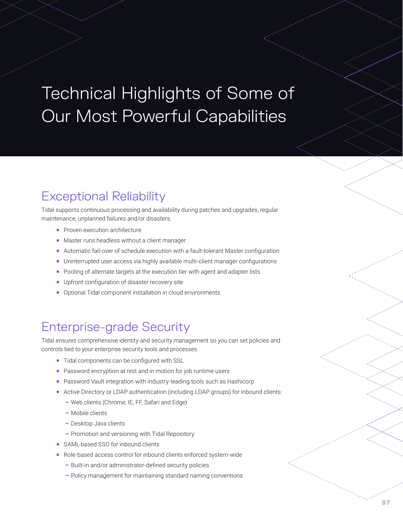## Technical Highlights of Some of Our Most Powerful Capabilities

## Exceptional Reliability

Tidal supports continuous processing and availability during patches and upgrades, regular maintenance, unplanned failures and/or disasters.

- Proven execution architecture
- Master runs headless without a client manager
- Automatic fail-over of schedule execution with a fault-tolerant Master configuration
- Uninterrupted user access via highly available multi-client manager configurations
- Pooling of alternate targets at the execution tier with agent and adapter lists
- Upfront configuration of disaster recovery site
- Optional Tidal component installation in cloud environments

### Enterprise-grade Security

Tidal ensures comprehensive identity and security management so you can set policies and controls tied to your enterprise security tools and processes.

- Tidal components can be configured with SSL
- Password encryption at rest and in motion for job runtime users
- Password Vault integration with industry-leading tools such as Hashicorp
- Active Directory or LDAP authentication (including LDAP groups) for inbound clients:
	- Web clients (Chrome, IE, FF, Safari and Edge)
	- Mobile clients
	- Desktop Java clients
	- Promotion and versioning with Tidal Repository
- SAML-based SSO for inbound clients
- Role-based access control for inbound clients enforced system-wide
	- Built-in and/or administrator-defined security policies
	- Policy management for maintaining standard naming conventions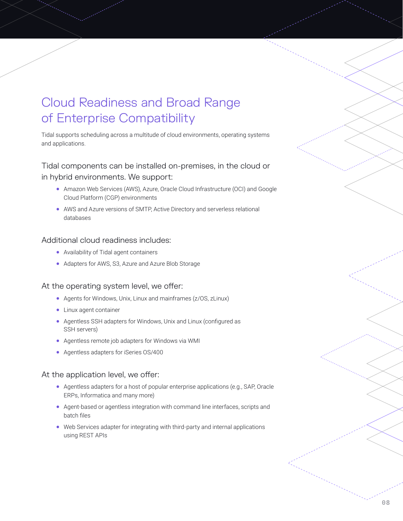## Cloud Readiness and Broad Range of Enterprise Compatibility

Tidal supports scheduling across a multitude of cloud environments, operating systems and applications.

#### Tidal components can be installed on-premises, in the cloud or in hybrid environments. We support:

- Amazon Web Services (AWS), Azure, Oracle Cloud Infrastructure (OCI) and Google Cloud Platform (CGP) environments
- AWS and Azure versions of SMTP, Active Directory and serverless relational databases

#### Additional cloud readiness includes:

- Availability of Tidal agent containers
- Adapters for AWS, S3, Azure and Azure Blob Storage

#### At the operating system level, we offer:

- Agents for Windows, Unix, Linux and mainframes (z/OS, zLinux)
- Linux agent container
- Agentless SSH adapters for Windows, Unix and Linux (configured as SSH servers)
- Agentless remote job adapters for Windows via WMI
- Agentless adapters for iSeries OS/400

#### At the application level, we offer:

- Agentless adapters for a host of popular enterprise applications (e.g., SAP, Oracle ERPs, Informatica and many more)
- Agent-based or agentless integration with command line interfaces, scripts and batch files
- Web Services adapter for integrating with third-party and internal applications using REST APIs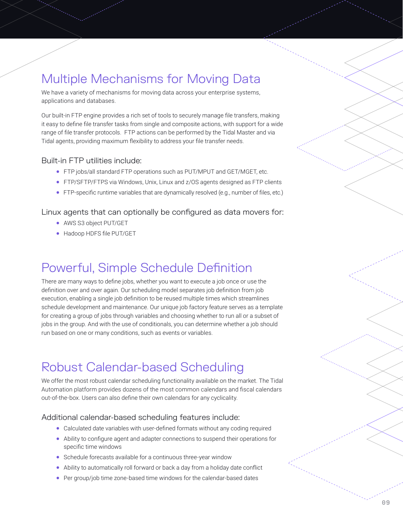## Multiple Mechanisms for Moving Data

We have a variety of mechanisms for moving data across your enterprise systems, applications and databases.

Our built-in FTP engine provides a rich set of tools to securely manage file transfers, making it easy to define file transfer tasks from single and composite actions, with support for a wide range of file transfer protocols. FTP actions can be performed by the Tidal Master and via Tidal agents, providing maximum flexibility to address your file transfer needs.

#### Built-in FTP utilities include:

- FTP jobs/all standard FTP operations such as PUT/MPUT and GET/MGET, etc.
- FTP/SFTP/FTPS via Windows, Unix, Linux and z/OS agents designed as FTP clients
- FTP-specific runtime variables that are dynamically resolved (e.g., number of files, etc.)

#### Linux agents that can optionally be configured as data movers for:

- AWS S3 object PUT/GET
- Hadoop HDFS file PUT/GET

## Powerful, Simple Schedule Definition

There are many ways to define jobs, whether you want to execute a job once or use the definition over and over again. Our scheduling model separates job definition from job execution, enabling a single job definition to be reused multiple times which streamlines schedule development and maintenance. Our unique job factory feature serves as a template for creating a group of jobs through variables and choosing whether to run all or a subset of jobs in the group. And with the use of conditionals, you can determine whether a job should run based on one or many conditions, such as events or variables.

### Robust Calendar-based Scheduling

We offer the most robust calendar scheduling functionality available on the market. The Tidal Automation platform provides dozens of the most common calendars and fiscal calendars out-of-the-box. Users can also define their own calendars for any cyclicality.

#### Additional calendar-based scheduling features include:

- Calculated date variables with user-defined formats without any coding required
- Ability to configure agent and adapter connections to suspend their operations for specific time windows
- Schedule forecasts available for a continuous three-year window
- Ability to automatically roll forward or back a day from a holiday date conflict
- Per group/job time zone-based time windows for the calendar-based dates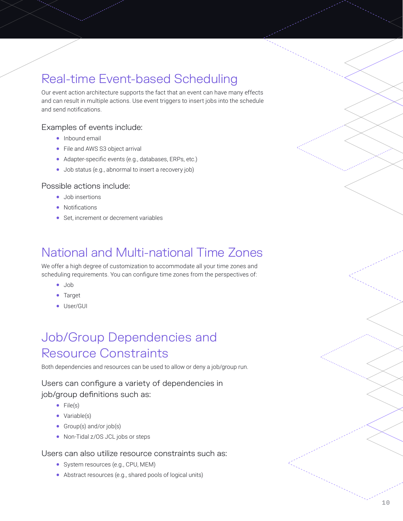## Real-time Event-based Scheduling

Our event action architecture supports the fact that an event can have many effects and can result in multiple actions. Use event triggers to insert jobs into the schedule and send notifications.

#### Examples of events include:

- Inbound email
- File and AWS S3 object arrival
- Adapter-specific events (e.g., databases, ERPs, etc.)
- Job status (e.g., abnormal to insert a recovery job)

#### Possible actions include:

- Job insertions
- Notifications
- Set, increment or decrement variables

## National and Multi-national Time Zones

We offer a high degree of customization to accommodate all your time zones and scheduling requirements. You can configure time zones from the perspectives of:

- Job
- Target
- User/GUI

## Job/Group Dependencies and Resource Constraints

Both dependencies and resources can be used to allow or deny a job/group run.

#### Users can configure a variety of dependencies in

#### job/group definitions such as:

- File(s)
- Variable(s)
- Group(s) and/or job(s)
- Non-Tidal z/OS JCL jobs or steps

#### Users can also utilize resource constraints such as:

- System resources (e.g., CPU, MEM)
- Abstract resources (e.g., shared pools of logical units)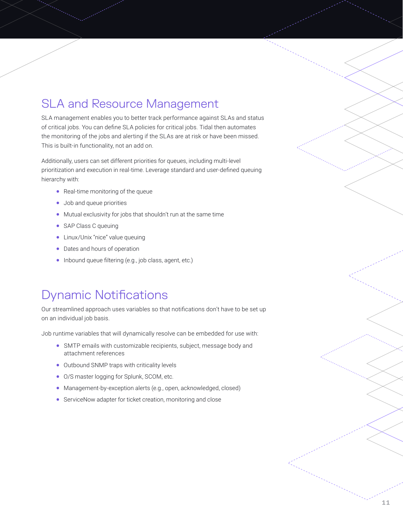### SLA and Resource Management

SLA management enables you to better track performance against SLAs and status of critical jobs. You can define SLA policies for critical jobs. Tidal then automates the monitoring of the jobs and alerting if the SLAs are at risk or have been missed. This is built-in functionality, not an add on.

Additionally, users can set different priorities for queues, including multi-level prioritization and execution in real-time. Leverage standard and user-defined queuing hierarchy with:

- Real-time monitoring of the queue
- Job and queue priorities
- Mutual exclusivity for jobs that shouldn't run at the same time
- SAP Class C queuing
- Linux/Unix "nice" value queuing
- Dates and hours of operation
- Inbound queue filtering (e.g., job class, agent, etc.)

### Dynamic Notifications

Our streamlined approach uses variables so that notifications don't have to be set up on an individual job basis.

Job runtime variables that will dynamically resolve can be embedded for use with:

- SMTP emails with customizable recipients, subject, message body and attachment references
- Outbound SNMP traps with criticality levels
- O/S master logging for Splunk, SCOM, etc.
- Management-by-exception alerts (e.g., open, acknowledged, closed)
- ServiceNow adapter for ticket creation, monitoring and close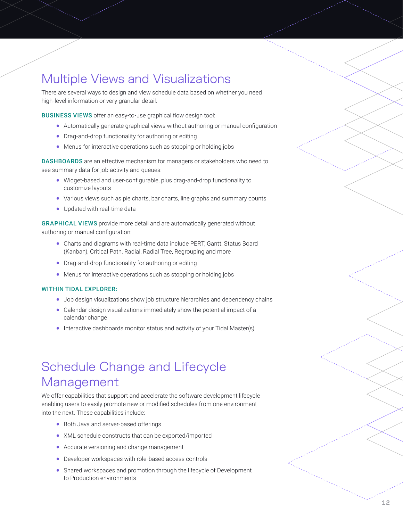## Multiple Views and Visualizations

There are several ways to design and view schedule data based on whether you need high-level information or very granular detail.

BUSINESS VIEWS offer an easy-to-use graphical flow design tool:

- Automatically generate graphical views without authoring or manual configuration
- Drag-and-drop functionality for authoring or editing
- Menus for interactive operations such as stopping or holding jobs

DASHBOARDS are an effective mechanism for managers or stakeholders who need to see summary data for job activity and queues:

- Widget-based and user-configurable, plus drag-and-drop functionality to customize layouts
- Various views such as pie charts, bar charts, line graphs and summary counts
- Updated with real-time data

GRAPHICAL VIEWS provide more detail and are automatically generated without authoring or manual configuration:

- Charts and diagrams with real-time data include PERT, Gantt, Status Board (Kanban), Critical Path, Radial, Radial Tree, Regrouping and more
- Drag-and-drop functionality for authoring or editing
- Menus for interactive operations such as stopping or holding jobs

#### WITHIN TIDAL EXPLORER:

- Job design visualizations show job structure hierarchies and dependency chains
- Calendar design visualizations immediately show the potential impact of a calendar change
- Interactive dashboards monitor status and activity of your Tidal Master(s)

## Schedule Change and Lifecycle Management

We offer capabilities that support and accelerate the software development lifecycle enabling users to easily promote new or modified schedules from one environment into the next. These capabilities include:

- Both Java and server-based offerings
- XML schedule constructs that can be exported/imported
- Accurate versioning and change management
- Developer workspaces with role-based access controls
- Shared workspaces and promotion through the lifecycle of Development to Production environments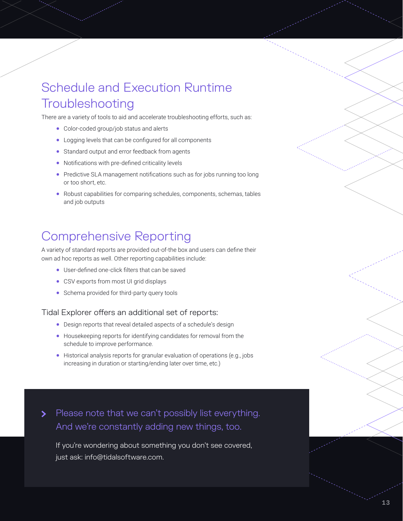## Schedule and Execution Runtime **Troubleshooting**

There are a variety of tools to aid and accelerate troubleshooting efforts, such as:

- Color-coded group/job status and alerts
- Logging levels that can be configured for all components
- Standard output and error feedback from agents
- Notifications with pre-defined criticality levels
- Predictive SLA management notifications such as for jobs running too long or too short, etc.
- Robust capabilities for comparing schedules, components, schemas, tables and job outputs

### Comprehensive Reporting

A variety of standard reports are provided out-of-the box and users can define their own ad hoc reports as well. Other reporting capabilities include:

- User-defined one-click filters that can be saved
- CSV exports from most UI grid displays
- Schema provided for third-party query tools

#### Tidal Explorer offers an additional set of reports:

- Design reports that reveal detailed aspects of a schedule's design
- Housekeeping reports for identifying candidates for removal from the schedule to improve performance.
- Historical analysis reports for granular evaluation of operations (e.g., jobs increasing in duration or starting/ending later over time, etc.)

Please note that we can't possibly list everything.  $\blacktriangleright$ And we're constantly adding new things, too.

If you're wondering about something you don't see covered, just ask: info@tidalsoftware.com.